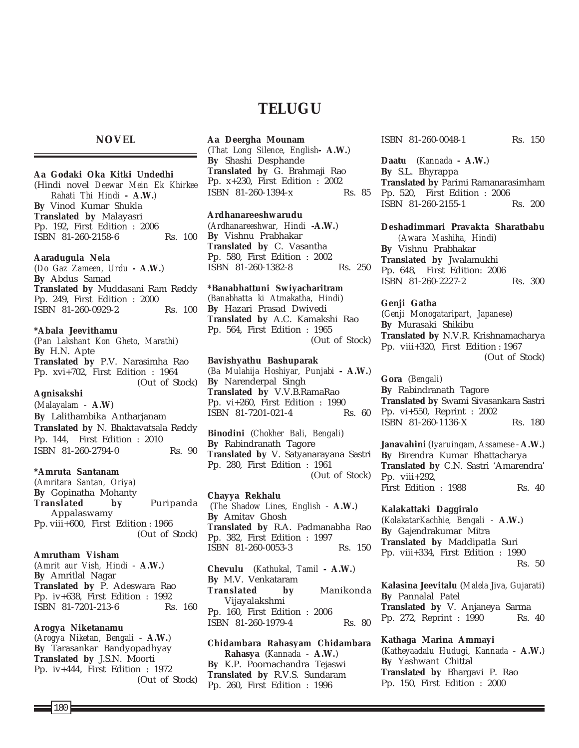# **NOVEL**

#### **Aa Godaki Oka Kitki Undedhi**

(Hindi novel *Deewar Mein Ek Khirkee Rahati Thi Hindi* **- A.W.***)* **By** Vinod Kumar Shukla **Translated by** Malayasri Pp. 192, First Edition : 2006 ISBN 81-260-2158-6 Rs. 100

#### **Aaradugula Nela**

(*Do Gaz Zameen, Urdu* **- A.W.**) **By** Abdus Samad **Translated by** Muddasani Ram Reddy Pp. 249, First Edition : 2000 ISBN 81-260-0929-2 Rs. 100

#### **\*Abala Jeevithamu**

(*Pan Lakshant Kon Gheto, Marathi*) **By** H.N. Apte **Translated by** P.V. Narasimha Rao Pp. xvi+702, First Edition : 1964 (Out of Stock)

## **Agnisakshi**

(*Malayalam* - **A.W**) **By** Lalithambika Antharjanam **Translated by** N. Bhaktavatsala Reddy Pp. 144, First Edition : 2010 ISBN 81-260-2794-0 Rs. 90

#### **\*Amruta Santanam**

(*Amritara Santan, Oriya*) **By** Gopinatha Mohanty **Translated by** Puripanda Appalaswamy Pp. viii+600, First Edition : 1966 (Out of Stock)

#### **Amrutham Visham**

(*Amrit aur Vish, Hindi* - **A.W.**) **By** Amritlal Nagar **Translated by** P. Adeswara Rao Pp. iv+638, First Edition : 1992 ISBN 81-7201-213-6 Rs. 160

#### **Arogya Niketanamu**

(*Arogya Niketan, Bengali* - **A.W.**) **By** Tarasankar Bandyopadhyay **Translated by** J.S.N. Moorti Pp. iv+444, First Edition : 1972 (Out of Stock)

# **TELUGU**

## **Aa Deergha Mounam**

(*That Long Silence, English***- A.W.**) **By** Shashi Desphande **Translated by** G. Brahmaji Rao Pp. x+230, First Edition : 2002 ISBN 81-260-1394-x Rs. 85

#### **Ardhanareeshwarudu**

(*Ardhanareeshwar, Hindi* **-A.W.**) **By** Vishnu Prabhakar **Translated by** C. Vasantha Pp. 580, First Edition : 2002 ISBN 81-260-1382-8 Rs. 250

#### **\*Banabhattuni Swiyacharitram**

(*Banabhatta ki Atmakatha, Hindi*) **By** Hazari Prasad Dwivedi **Translated by** A.C. Kamakshi Rao Pp. 564, First Edition : 1965 (Out of Stock)

#### **Bavishyathu Bashuparak** (*Ba Mulahija Hoshiyar, Punjabi* **- A.W.**) **By** Narenderpal Singh **Translated by** V.V.B.RamaRao Pp. vi+260, First Edition : 1990

**Binodini** (*Chokher Bali, Bengali*) **By** Rabindranath Tagore **Translated by** V. Satyanarayana Sastri Pp. 280, First Edition : 1961 (Out of Stock)

ISBN 81-7201-021-4 Rs. 60

#### **Chayya Rekhalu**

(*The Shadow Lines, English* - **A.W.**) **By** Amitav Ghosh **Translated by** R.A. Padmanabha Rao Pp. 382, First Edition : 1997 ISBN 81-260-0053-3 Rs. 150

**Chevulu** (*Kathukal, Tamil* **- A.W.**) **By** M.V. Venkataram **Translated by** Manikonda Vijayalakshmi Pp. 160, First Edition : 2006 ISBN 81-260-1979-4 Rs. 80

**Chidambara Rahasyam Chidambara Rahasya** (*Kannada* - **A.W.**) **By** K.P. Poornachandra Tejaswi **Translated by** R.V.S. Sundaram Pp. 260, First Edition : 1996

ISBN 81-260-0048-1 Rs. 150

**Daatu** (*Kannada* **- A.W.**) **By** S.L. Bhyrappa **Translated by** Parimi Ramanarasimham Pp. 520, First Edition : 2006 ISBN 81-260-2155-1 Rs. 200

#### **Deshadimmari Pravakta Sharatbabu**

*(Awara Mashiha, Hindi)* **By** Vishnu Prabhakar **Translated by** Jwalamukhi Pp. 648, First Edition: 2006 ISBN 81-260-2227-2 Rs. 300

#### **Genji Gatha**

(*Genji Monogataripart, Japanese*) **By** Murasaki Shikibu **Translated by** N.V.R. Krishnamacharya Pp. viii+320, First Edition : 1967 (Out of Stock)

**Gora** (*Bengali*) **By** Rabindranath Tagore **Translated by** Swami Sivasankara Sastri Pp. vi+550, Reprint : 2002 ISBN 81-260-1136-X Rs. 180

**Janavahini** (*Iyaruingam, Assamese* - **A.W.**) **By** Birendra Kumar Bhattacharya **Translated by** C.N. Sastri 'Amarendra' Pp. viii+292, First Edition : 1988 Rs. 40

**Kalakattaki Daggiralo** (*KolakatarKachhie, Bengali* - **A.W.**) **By** Gajendrakumar Mitra **Translated by** Maddipatla Suri Pp. viii+334, First Edition : 1990 Rs. 50

**Kalasina Jeevitalu** (*Malela Jiva, Gujarati*) **By** Pannalal Patel **Translated by** V. Anjaneya Sarma Pp. 272, Reprint : 1990 Rs. 40

**Kathaga Marina Ammayi** (*Katheyaadalu Hudugi, Kannada* - **A.W.**) **By** Yashwant Chittal **Translated by** Bhargavi P. Rao Pp. 150, First Edition : 2000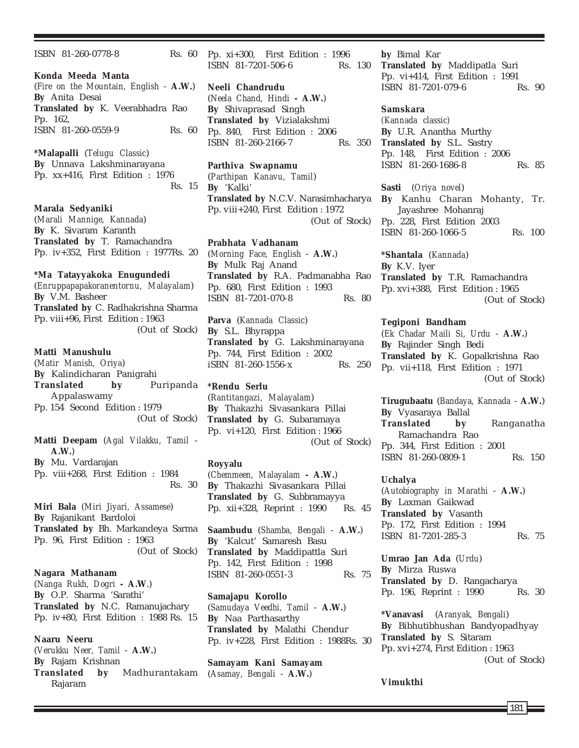ISBN 81-260-0778-8 Rs. 60 **Konda Meeda Manta** (*Fire on the Mountain, English* - **A.W.**) **By** Anita Desai **Translated by** K. Veerabhadra Rao Pp. 162, ISBN 81-260-0559-9 Rs. 60 **\*Malapalli** (*Telugu Classic*) **By** Unnava Lakshminarayana Pp. xx+416, First Edition : 1976 Rs. 15 **Marala Sedyaniki** (*Marali Mannige, Kannada*) **By** K. Sivaram Karanth **Translated by** T. Ramachandra Pp. iv+352, First Edition : 1977Rs. 20 **\*Ma Tatayyakoka Enugundedi** (*Enruppapapakoranentornu, Malayalam*) **By** V.M. Basheer **Translated by** C. Radhakrishna Sharma Pp. viii+96, First Edition : 1963 (Out of Stock) **Matti Manushulu** (*Matir Manish, Oriya*) **By** Kalindicharan Panigrahi **Translated by** Puripanda Appalaswamy Pp. 154 Second Edition : 1979 (Out of Stock) **Matti Deepam** (*Agal Vilakku, Tamil* - **A.W.**) **By** Mu. Vardarajan Pp. viii+268, First Edition : 1984 Rs. 30 **Miri Bala** (*Miri Jiyari, Assamese*) **By** Rajanikant Bardoloi **Translated by** Bh. Markandeya Sarma Pp. 96, First Edition : 1963 (Out of Stock) **Nagara Mathanam** (*Nanga Rukh, Dogri* **- A.W**.) **By** O.P. Sharma 'Sarathi'

Pp. iv+80, First Edition : 1988 Rs. 15 **Naaru Neeru** (*Verukku Neer, Tamil* - **A.W.**) **By** Rajam Krishnan **Translated by** Madhurantakam Rajaram

**Translated by** N.C. Ramanujachary

Pp. xi+300, First Edition : 1996 ISBN 81-7201-506-6 Rs. 130

**Neeli Chandrudu** (*Neela Chand, Hindi* **- A.W.**) **By** Shivaprasad Singh **Translated by** Vizialakshmi Pp. 840, First Edition : 2006 ISBN 81-260-2166-7 Rs. 350

**Parthiva Swapnamu** (*Parthipan Kanavu, Tamil*) **By** 'Kalki' **Translated by** N.C.V. Narasimhacharya Pp. viii+240, First Edition : 1972 (Out of Stock)

# **Prabhata Vadhanam** (*Morning Face, English* - **A.W.**) **By** Mulk Raj Anand **Translated by** R.A. Padmanabha Rao Pp. 680, First Edition : 1993 ISBN 81-7201-070-8 Rs. 80

**Parva** (*Kannada Classic*) **By** S.L. Bhyrappa **Translated by** G. Lakshminarayana Pp. 744, First Edition : 2002 iSBN 81-260-1556-x Rs. 250

**\*Rendu Serlu** (*Rantitangazi, Malayalam*) **By** Thakazhi Sivasankara Pillai **Translated by** G. Subaramaya Pp. vi+120, First Edition : 1966 (Out of Stock)

# **Royyalu**

(*Chemmeen, Malayalam* **- A.W.**) **By** Thakazhi Sivasankara Pillai **Translated by** G. Subbramayya Pp. xii+328, Reprint : 1990 Rs. 45

**Saambudu** (*Shamba, Bengali* - **A.W.**) **By** 'Kalcut' Samaresh Basu **Translated by** Maddipattla Suri Pp. 142, First Edition : 1998 ISBN 81-260-0551-3 Rs. 75

**Samajapu Korollo** (*Samudaya Veedhi, Tamil* - **A.W.**) **By** Naa Parthasarthy **Translated by** Malathi Chendur Pp. iv+228, First Edition : 1988Rs. 30

**Samayam Kani Samayam** (*Asamay, Bengali* - **A.W.**)

**by** Bimal Kar **Translated by** Maddipatla Suri Pp. vi+414, First Edition : 1991 ISBN 81-7201-079-6 Rs. 90

**Samskara**

*(Kannada classic)* **By** U.R. Anantha Murthy **Translated by** S.L. Sastry Pp. 148, First Edition : 2006 ISBN 81-260-1686-8 Rs. 85

**Sasti** (*Oriya novel*) **By** Kanhu Charan Mohanty, Tr. Jayashree Mohanraj Pp. 228, First Edition 2003 ISBN 81-260-1066-5 Rs. 100

**\*Shantala** (*Kannada*) **By** K.V. Iyer **Translated by** T.R. Ramachandra Pp. xvi+388, First Edition : 1965 (Out of Stock)

## **Tegiponi Bandham**

(*Ek Chadar Maili Si, Urdu* - **A.W.**) **By** Rajinder Singh Bedi **Translated by** K. Gopalkrishna Rao Pp. vii+118, First Edition : 1971 (Out of Stock)

**Tirugubaatu** (*Bandaya, Kannada* - **A.W.**) **By** Vyasaraya Ballal **Translated by** Ranganatha Ramachandra Rao Pp. 344, First Edition : 2001 ISBN 81-260-0809-1 Rs. 150

#### **Uchalya**

(*Autobiography in Marathi* - **A.W.**) **By** Laxman Gaikwad **Translated by** Vasanth Pp. 172, First Edition : 1994 ISBN 81-7201-285-3 Rs. 75

**Umrao Jan Ada** (*Urdu*) **By** Mirza Ruswa **Translated by** D. Rangacharya Pp. 196, Reprint : 1990 Rs. 30

**\*Vanavasi** (*Aranyak, Bengali*) **By** Bibhutibhushan Bandyopadhyay **Translated by** S. Sitaram Pp. xvi+274, First Edition : 1963 (Out of Stock)

## **Vimukthi**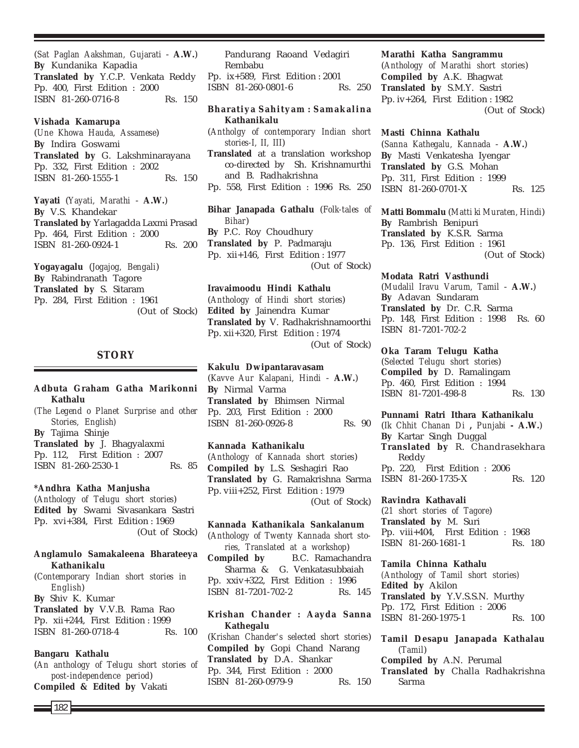(*Sat Paglan Aakshman, Gujarati* - **A.W.**) **By** Kundanika Kapadia **Translated by** Y.C.P. Venkata Reddy Pp. 400, First Edition : 2000 ISBN 81-260-0716-8 Rs. 150

#### **Vishada Kamarupa**

(*Une Khowa Hauda, Assamese*) **By** Indira Goswami **Translated by** G. Lakshminarayana Pp. 332, First Edition : 2002 ISBN 81-260-1555-1 Rs. 150

**Yayati** (*Yayati, Marathi* - **A.W.**) **By** V.S. Khandekar **Translated by** Yarlagadda Laxmi Prasad Pp. 464, First Edition : 2000 ISBN 81-260-0924-1 Rs. 200

**Yogayagalu** (*Jogajog, Bengali*) **By** Rabindranath Tagore **Translated by** S. Sitaram Pp. 284, First Edition : 1961

(Out of Stock)

## **STORY**

# **Adbuta Graham Gatha Marikonni Kathalu** *(The Legend o Planet Surprise and other Stories, English)* **By** Tajima Shinje **Translated by** J. Bhagyalaxmi Pp. 112, First Edition : 2007 ISBN 81-260-2530-1 Rs. 85 **\*Andhra Katha Manjusha** (*Anthology of Telugu short stories*) **Edited by** Swami Sivasankara Sastri

Pp. xvi+384, First Edition : 1969 (Out of Stock)

### **Anglamulo Samakaleena Bharateeya Kathanikalu**

(*Contemporary Indian short stories in English*) **By** Shiv K. Kumar **Translated by** V.V.B. Rama Rao Pp. xii+244, First Edition : 1999

ISBN 81-260-0718-4 Rs. 100

## **Bangaru Kathalu**

(*An anthology of Telugu short stories of post-independence period*) **Compiled & Edited by** Vakati

Pandurang Raoand Vedagiri Rembabu

Pp. ix+589, First Edition : 2001 ISBN 81-260-0801-6 Rs. 250

## **Bharatiya Sahityam : Samakalina Kathanikalu**

(*Antholgy of contemporary Indian short stories-I, II, III*)

**Translated** at a translation workshop co-directed by Sh. Krishnamurthi and B. Radhakrishna

Pp. 558, First Edition : 1996 Rs. 250

**Bihar Janapada Gathalu** (*Folk-tales of Bihar*) **By** P.C. Roy Choudhury **Translated by** P. Padmaraju Pp. xii+146, First Edition : 1977 (Out of Stock)

## **Iravaimoodu Hindi Kathalu**

(*Anthology of Hindi short stories*) **Edited by** Jainendra Kumar **Translated by** V. Radhakrishnamoorthi Pp. xii+320, First Edition : 1974 (Out of Stock)

#### **Kakulu Dwipantaravasam**

(*Kavve Aur Kalapani, Hindi* - **A.W.**) **By** Nirmal Varma **Translated by** Bhimsen Nirmal Pp. 203, First Edition : 2000 ISBN 81-260-0926-8 Rs. 90

## **Kannada Kathanikalu**

(*Anthology of Kannada short stories*) **Compiled by** L.S. Seshagiri Rao **Translated by** G. Ramakrishna Sarma Pp. viii+252, First Edition : 1979 (Out of Stock)

**Kannada Kathanikala Sankalanum** (*Anthology of Twenty Kannada short stories, Translated at a workshop*)

**Compiled by** B.C. Ramachandra Sharma & G. Venkatasubbaiah Pp. xxiv+322, First Edition : 1996 ISBN 81-7201-702-2 Rs. 145

**Krishan Chander : Aayda Sanna Kathegalu** (*Krishan Chander's selected short stories*) **Compiled by** Gopi Chand Narang **Translated by** D.A. Shankar Pp. 344, First Edition : 2000

ISBN 81-260-0979-9 Rs. 150

## **Marathi Katha Sangrammu**

(*Anthology of Marathi short stories*) **Compiled by** A.K. Bhagwat **Translated by** S.M.Y. Sastri Pp. iv+264, First Edition : 1982 (Out of Stock)

#### **Masti Chinna Kathalu**

(*Sanna Kathegalu, Kannada* - **A.W.**) **By** Masti Venkatesha Iyengar **Translated by** G.S. Mohan Pp. 311, First Edition : 1999 ISBN 81-260-0701-X Rs. 125

**Matti Bommalu** (*Matti ki Muraten, Hindi*) **By** Rambrish Benipuri **Translated by** K.S.R. Sarma Pp. 136, First Edition : 1961 (Out of Stock)

#### **Modata Ratri Vasthundi**

(*Mudalil Iravu Varum, Tamil* - **A.W.**) **By** Adavan Sundaram **Translated by** Dr. C.R. Sarma Pp. 148, First Edition : 1998 Rs. 60 ISBN 81-7201-702-2

#### **Oka Taram Telugu Katha**

(*Selected Telugu short stories*) **Compiled by** D. Ramalingam Pp. 460, First Edition : 1994 ISBN 81-7201-498-8 Rs. 130

## **Punnami Ratri Ithara Kathanikalu**

(*Ik Chhit Chanan Di* **,** *Punjabi* **- A.W.**) **By** Kartar Singh Duggal **Translated by** R. Chandrasekhara Reddy Pp. 220, First Edition : 2006 ISBN 81-260-1735-X Rs. 120

## **Ravindra Kathavali**

(*21 short stories of Tagore*) **Translated by** M. Suri Pp. viii+404, First Edition : 1968 ISBN 81-260-1681-1 Rs. 180

## **Tamila Chinna Kathalu** *(Anthology of Tamil short stories)* **Edited by** Akilon **Translated by** Y.V.S.S.N. Murthy Pp. 172, First Edition : 2006 ISBN 81-260-1975-1 Rs. 100

**Tamil Desapu Janapada Kathalau** (*Tamil*) **Compiled by** A.N. Perumal **Translated by** Challa Radhakrishna Sarma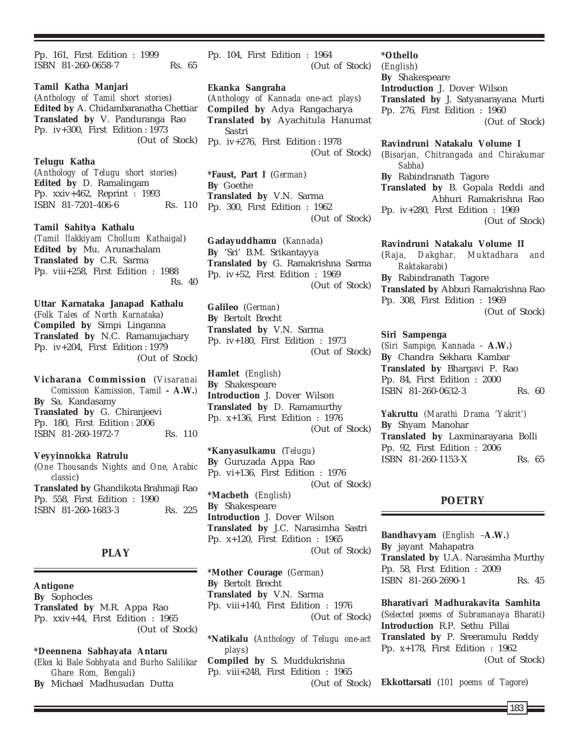Pp. 161, First Edition : 1999 ISBN 81-260-0658-7 Rs. 65

**Tamil Katha Manjari** (*Anthology of Tamil short stories*) **Edited by** A. Chidambaranatha Chettiar **Translated by** V. Panduranga Rao Pp. iv+300, First Edition : 1973 (Out of Stock)

**Telugu Katha**

(*Anthology of Telugu short stories*) **Edited by** D. Ramalingam Pp. xxiv+462, Reprint : 1993 ISBN 81-7201-406-6 Rs. 110

**Tamil Sahitya Kathalu** (*Tamil llakkiyam Chollum Kathaigal*) **Edited by** Mu. Arunachalam **Translated by** C.R. Sarma Pp. viii+258, First Edition : 1988 Rs. 40

**Uttar Karnataka Janapad Kathalu** (*Folk Tales of North Karnataka*) **Compiled by** Simpi Linganna **Translated by** N.C. Ramanujachary Pp. iv+204, First Edition : 1979 (Out of Stock)

**Vicharana Commission** (*Visaranai Comission Kamission, Tamil* **- A.W.***)* **By** Sa. Kandasamy **Translated by** G. Chiranjeevi Pp. 180, First Edition : 2006 ISBN 81-260-1972-7 Rs. 110

**Veyyinnokka Ratrulu** (*One Thousands Nights and One, Arabic classic*) **Translated by** Ghandikota Brahmaji Rao Pp. 558, First Edition : 1990 ISBN 81-260-1683-3 Rs. 225

# **PLAY**

**Antigone By** Sophocles **Translated by** M.R. Appa Rao Pp. xxiv+44, First Edition : 1965 (Out of Stock)

**\*Deennena Sabhayata Antaru** (*Ekei ki Bale Sobhyata and Burho Salilikar Ghare Rom, Bengali*) **By** Michael Madhusudan Dutta

Pp. 104, First Edition : 1964 (Out of Stock)

**Ekanka Sangraha**

(*Anthology of Kannada one-act plays*) **Compiled by** Adya Rangacharya **Translated by** Ayachitula Hanumat Sastri Pp. iv+276, First Edition : 1978 (Out of Stock)

**\*Faust, Part I** (*German*) **By** Goethe **Translated by** V.N. Sarma Pp. 300, First Edition : 1962 (Out of Stock)

**Gadayuddhamu** (*Kannada*) **By** 'Sri' B.M. Srikantayya **Translated by** G. Ramakrishna Sarma Pp. iv+52, First Edition : 1969 (Out of Stock)

**Galileo** (*German*) **By** Bertolt Brecht **Translated by** V.N. Sarma Pp. iv+180, First Edition : 1973 (Out of Stock)

**Hamlet** (*English*) **By** Shakespeare **Introduction** J. Dover Wilson **Translated by** D. Ramamurthy Pp. x+136, First Edition : 1976 (Out of Stock)

**\*Kanyasulkamu** (*Telugu*) **By** Guruzada Appa Rao Pp. vi+136, First Edition : 1976 (Out of Stock) **\*Macbeth** (*English*) **By** Shakespeare **Introduction** J. Dover Wilson **Translated by** J.C. Narasimha Sastri Pp. x+120, First Edition : 1965 (Out of Stock)

**\*Mother Courage** (*German*) **By** Bertolt Brecht **Translated by** V.N. Sarma Pp. viii+140, First Edition : 1976 (Out of Stock)

**\*Natikalu** (*Anthology of Telugu one-act plays*)

**Compiled by** S. Muddukrishna Pp. viii+248, First Edition : 1965 (Out of Stock)

#### **\*Othello**

(*English*) **By** Shakespeare **Introduction** J. Dover Wilson **Translated by** J. Satyanarayana Murti Pp. 276, First Edition : 1960 (Out of Stock)

**Ravindruni Natakalu Volume I** (*Bisarjan, Chitrangada and Chirakumar Sabha*) **By** Rabindranath Tagore **Translated by** B. Gopala Reddi and Abhuri Ramakrishna Rao Pp. iv+280, First Edition : 1969 (Out of Stock)

**Ravindruni Natakalu Volume II** (*Raja, Dakghar, Muktadhara and Raktakarabi*) **By** Rabindranath Tagore **Translated by** Abburi Ramakrishna Rao Pp. 308, First Edition : 1969 (Out of Stock)

#### **Siri Sampenga**

(*Siri Sampige, Kannada* - **A.W.**) **By** Chandra Sekhara Kambar **Translated by** Bhargavi P. Rao Pp. 84, First Edition : 2000 ISBN 81-260-0632-3 Rs. 60

**Yakruttu** *(Marathi Drama 'Yakrit')* **By** Shyam Manohar **Translated by** Laxminarayana Bolli Pp. 92, First Edition : 2006 **ISBN 81-260-1153-X Rs. 65** 

# **POETRY**

**Bandhavyam** (*English* –**A.W.**) **By** jayant Mahapatra **Translated by** U.A. Narasimha Murthy Pp. 58, First Edition : 2009 ISBN 81-260-2690-1 Rs. 45

**Bharativari Madhurakavita Samhita** (*Selected poems of Subramanaya Bharati*) **Introduction** R.P. Sethu Pillai **Translated by** P. Sreeramulu Reddy Pp. x+178, First Edition : 1962 (Out of Stock)

**Ekkottarsati** (*101 poems of Tagore*)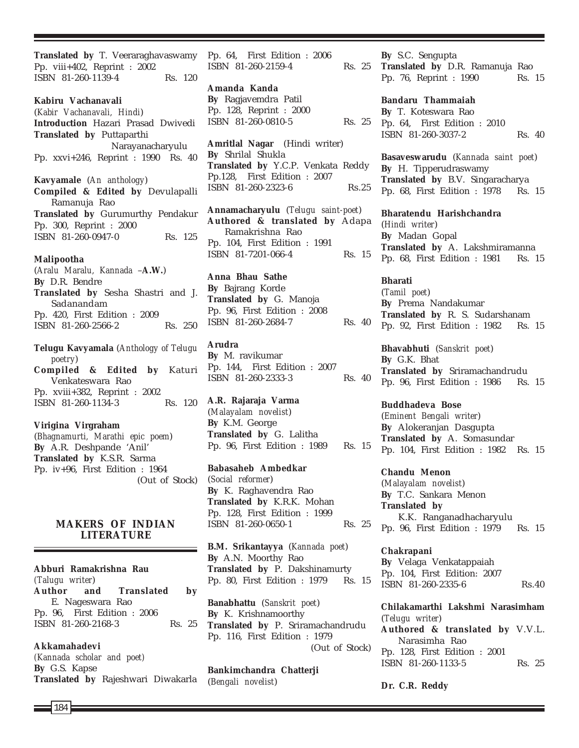**Translated by** T. Veeraraghavaswamy Pp. viii+402, Reprint : 2002 ISBN 81-260-1139-4 Rs. 120 **Kabiru Vachanavali** (*Kabir Vachanavali, Hindi*) **Introduction** Hazari Prasad Dwivedi **Translated by** Puttaparthi Narayanacharyulu Pp. xxvi+246, Reprint : 1990 Rs. 40 **Kavyamale** (*An anthology*) **Compiled & Edited by** Devulapalli Ramanuja Rao **Translated by** Gurumurthy Pendakur Pp. 300, Reprint : 2000 ISBN 81-260-0947-0 Rs. 125 **Malipootha** (*Aralu Maralu, Kannada* –**A.W.**) **By** D.R. Bendre **Translated by** Sesha Shastri and J. Sadanandam Pp. 420, First Edition : 2009 ISBN 81-260-2566-2 Rs. 250 **Telugu Kavyamala** (*Anthology of Telugu poetry*) **Compiled & Edited by** Katuri Venkateswara Rao

Pp. xviii+382, Reprint : 2002 ISBN 81-260-1134-3 Rs. 120

**Virigina Virgraham** (*Bhagnamurti, Marathi epic poem*) **By** A.R. Deshpande 'Anil' **Translated by** K.S.R. Sarma Pp. iv+96, First Edition : 1964 (Out of Stock)

# **MAKERS OF INDIAN LITERATURE**

**Abburi Ramakrishna Rau** *(Talugu writer*) **Author and Translated by** E. Nageswara Rao Pp. 96, First Edition : 2006 ISBN 81-260-2168-3 Rs. 25

**Akkamahadevi** *(Kannada scholar and poet)* **By** G.S. Kapse **Translated by** Rajeshwari Diwakarla Pp. 64, First Edition : 2006 ISBN 81-260-2159-4 Rs. 25

**Amanda Kanda By** Ragjavemdra Patil Pp. 128, Reprint : 2000 ISBN 81-260-0810-5 Rs. 25

**Amritlal Nagar** (Hindi writer) **By** Shrilal Shukla **Translated by** Y.C.P. Venkata Reddy Pp.128, First Edition : 2007 ISBN 81-260-2323-6 Rs.25

**Annamacharyulu** (*Telugu saint-poet*) **Authored & translated by** Adapa Ramakrishna Rao Pp. 104, First Edition : 1991 ISBN 81-7201-066-4 Rs. 15

**Anna Bhau Sathe By** Bajrang Korde **Translated by** G. Manoja Pp. 96, First Edition : 2008 ISBN 81-260-2684-7 Rs. 40

**Arudra By** M. ravikumar Pp. 144, First Edition : 2007 ISBN 81-260-2333-3 Rs. 40

**A.R. Rajaraja Varma** (*Malayalam novelist*) **By** K.M. George **Translated by** G. Lalitha Pp. 96, First Edition : 1989 Rs. 15

**Babasaheb Ambedkar** (*Social reformer*) **By** K. Raghavendra Rao **Translated by** K.R.K. Mohan Pp. 128, First Edition : 1999 ISBN 81-260-0650-1 Rs. 25

**B.M. Srikantayya** (*Kannada poet*) **By** A.N. Moorthy Rao **Translated by** P. Dakshinamurty Pp. 80, First Edition : 1979 Rs. 15

**Banabhattu** (*Sanskrit poet*) **By** K. Krishnamoorthy **Translated by** P. Sriramachandrudu Pp. 116, First Edition : 1979 (Out of Stock)

**Bankimchandra Chatterji** (*Bengali novelist*)

**By** S.C. Sengupta

**Translated by** D.R. Ramanuja Rao Pp. 76, Reprint : 1990 Rs. 15

**Bandaru Thammaiah By** T. Koteswara Rao Pp. 64, First Edition : 2010 ISBN 81-260-3037-2 Rs. 40

**Basaveswarudu** (*Kannada saint poet*) **By** H. Tipperudraswamy **Translated by** B.V. Singaracharya Pp. 68, First Edition : 1978 Rs. 15

**Bharatendu Harishchandra** (*Hindi writer*) **By** Madan Gopal **Translated by** A. Lakshmiramanna Pp. 68, First Edition : 1981 Rs. 15

**Bharati** (*Tamil poet*) **By** Prema Nandakumar **Translated by** R. S. Sudarshanam Pp. 92, First Edition : 1982 Rs. 15

**Bhavabhuti** (*Sanskrit poet*) **By** G.K. Bhat **Translated by** Sriramachandrudu Pp. 96, First Edition : 1986 Rs. 15

**Buddhadeva Bose** (*Eminent Bengali writer*) **By** Alokeranjan Dasgupta **Translated by** A. Somasundar Pp. 104, First Edition : 1982 Rs. 15

**Chandu Menon** (*Malayalam novelist*) **By** T.C. Sankara Menon **Translated by** K.K. Ranganadhacharyulu Pp. 96, First Edition : 1979 Rs. 15

**Chakrapani By** Velaga Venkatappaiah Pp. 104, First Edition: 2007 ISBN 81-260-2335-6 Rs.40

**Chilakamarthi Lakshmi Narasimham** (*Telugu writer*) **Authored & translated by** V.V.L. Narasimha Rao Pp. 128, First Edition : 2001 ISBN 81-260-1133-5 Rs. 25

**Dr. C.R. Reddy**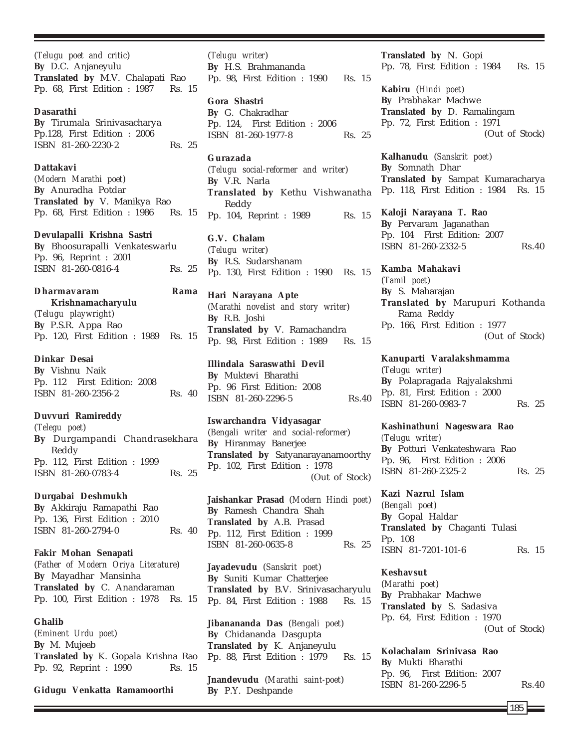(*Telugu poet and critic*) **By** D.C. Anjaneyulu **Translated by** M.V. Chalapati Rao Pp. 68, First Edition : 1987 Rs. 15

## **Dasarathi**

**By** Tirumala Srinivasacharya Pp.128, First Edition : 2006 ISBN 81-260-2230-2 Rs. 25

## **Dattakavi**

(*Modern Marathi poet*) **By** Anuradha Potdar **Translated by** V. Manikya Rao Pp. 68, First Edition : 1986 Rs. 15

**Devulapalli Krishna Sastri**

**By** Bhoosurapalli Venkateswarlu Pp. 96, Reprint : 2001 ISBN 81-260-0816-4 Rs. 25

| <b>Dharmayaram</b>                   |  | Rama |  |
|--------------------------------------|--|------|--|
| Krishnamacharyulu                    |  |      |  |
| (Telugu playwright)                  |  |      |  |
| By P.S.R. Appa Rao                   |  |      |  |
| Pp. 120, First Edition : 1989 Rs. 15 |  |      |  |

# **Dinkar Desai**

**By** Vishnu Naik Pp. 112 First Edition: 2008 ISBN 81-260-2356-2 Rs. 40

# **Duvvuri Ramireddy**

(*Telegu poet*) **By** Durgampandi Chandrasekhara Reddy Pp. 112, First Edition : 1999 ISBN 81-260-0783-4 Rs. 25

## **Durgabai Deshmukh**

**By** Akkiraju Ramapathi Rao Pp. 136, First Edition : 2010 ISBN 81-260-2794-0 Rs. 40

**Fakir Mohan Senapati** (*Father of Modern Oriya Literature*) **By** Mayadhar Mansinha **Translated by** C. Anandaraman Pp. 100, First Edition : 1978 Rs. 15

**Ghalib** (*Eminent Urdu poet*) **By** M. Mujeeb **Translated by** K. Gopala Krishna Rao Pp. 92, Reprint : 1990 Rs. 15

**Gidugu Venkatta Ramamoorthi**

(*Telugu writer*) **By** H.S. Brahmananda Pp. 98, First Edition : 1990 Rs. 15

## **Gora Shastri**

**By** G. Chakradhar Pp. 124, First Edition : 2006 ISBN 81-260-1977-8 Rs. 25

## **Gurazada**

(*Telugu social-reformer and writer*) **By** V.R. Narla **Translated by** Kethu Vishwanatha Reddy Pp. 104, Reprint : 1989 Rs. 15

**G.V. Chalam**

(*Telugu writer*) **By** R.S. Sudarshanam Pp. 130, First Edition : 1990 Rs. 15

**Hari Narayana Apte** (*Marathi novelist and story writer*) **By** R.B. Joshi **Translated by** V. Ramachandra Pp. 98, First Edition : 1989 Rs. 15

**Illindala Saraswathi Devil By** Muktevi Bharathi Pp. 96 First Edition: 2008 ISBN 81-260-2296-5 Rs.40

**Iswarchandra Vidyasagar** (*Bengali writer and social-reformer*) **By** Hiranmay Banerjee **Translated by** Satyanarayanamoorthy Pp. 102, First Edition : 1978 (Out of Stock)

**Jaishankar Prasad** (*Modern Hindi poet*) **By** Ramesh Chandra Shah **Translated by** A.B. Prasad Pp. 112, First Edition : 1999 ISBN 81-260-0635-8 Rs. 25

**Jayadevudu** (*Sanskrit poet*) **By** Suniti Kumar Chatterjee **Translated by** B.V. Srinivasacharyulu Pp. 84, First Edition : 1988 Rs. 15

**Jibanananda Das** (*Bengali poet*) **By** Chidananda Dasgupta **Translated by** K. Anjaneyulu Pp. 88, First Edition : 1979 Rs. 15

**Jnandevudu** (*Marathi saint-poet*) **By** P.Y. Deshpande

**Translated by** N. Gopi Pp. 78, First Edition : 1984 Rs. 15

**Kabiru** (*Hindi poet*) **By** Prabhakar Machwe **Translated by** D. Ramalingam Pp. 72, First Edition : 1971 (Out of Stock)

**Kalhanudu** (*Sanskrit poet*) **By** Somnath Dhar **Translated by** Sampat Kumaracharya Pp. 118, First Edition : 1984 Rs. 15

**Kaloji Narayana T. Rao By** Pervaram Jaganathan Pp. 104 First Edition: 2007 ISBN 81-260-2332-5 Rs.40

**Kamba Mahakavi** (*Tamil poet*) **By** S. Maharajan **Translated by** Marupuri Kothanda Rama Reddy Pp. 166, First Edition : 1977 (Out of Stock)

**Kanuparti Varalakshmamma** (*Telugu writer*) **By** Polapragada Rajyalakshmi Pp. 81, First Edition : 2000 ISBN 81-260-0983-7 Rs. 25

#### **Kashinathuni Nageswara Rao**

*(Telugu writer)* **By** Potturi Venkateshwara Rao Pp. 96, First Edition : 2006 ISBN 81-260-2325-2 Rs. 25

**Kazi Nazrul Islam**

(*Bengali poet*) **By** Gopal Haldar **Translated by** Chaganti Tulasi Pp. 108 ISBN 81-7201-101-6 Rs. 15

## **Keshavsut**

(*Marathi poet*) **By** Prabhakar Machwe **Translated by** S. Sadasiva Pp. 64, First Edition : 1970 (Out of Stock)

**Kolachalam Srinivasa Rao By** Mukti Bharathi Pp. 96, First Edition: 2007 ISBN 81-260-2296-5 Rs.40

185 **F**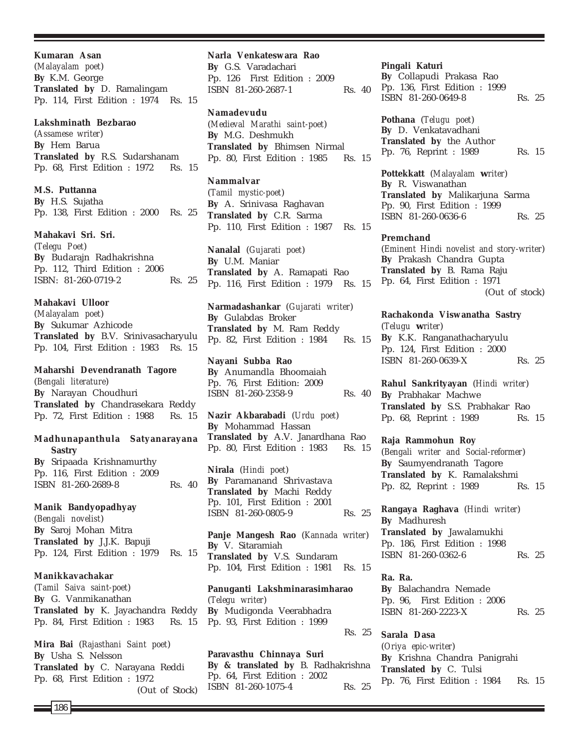**Kumaran Asan** (*Malayalam poet*) **By** K.M. George **Translated by** D. Ramalingam Pp. 114, First Edition : 1974 Rs. 15

#### **Lakshminath Bezbarao**

(*Assamese writer*) **By** Hem Barua **Translated by** R.S. Sudarshanam Pp. 68, First Edition : 1972 Rs. 15

**M.S. Puttanna By** H.S. Sujatha Pp. 138, First Edition : 2000 Rs. 25

**Mahakavi Sri. Sri.**

(*Telegu Poet*) **By** Budarajn Radhakrishna Pp. 112, Third Edition : 2006 ISBN: 81-260-0719-2 Rs. 25

**Mahakavi Ulloor**

(*Malayalam poet*) **By** Sukumar Azhicode **Translated by** B.V. Srinivasacharyulu Pp. 104, First Edition : 1983 Rs. 15

#### **Maharshi Devendranath Tagore**

(*Bengali literature*) **By** Narayan Choudhuri **Translated by** Chandrasekara Reddy Pp. 72, First Edition : 1988 Rs. 15

# **Madhunapanthula Satyanarayana Sastry**

**By** Sripaada Krishnamurthy Pp. 116, First Edition : 2009 ISBN 81-260-2689-8 Rs. 40

## **Manik Bandyopadhyay**

(*Bengali novelist*) **By** Saroj Mohan Mitra **Translated by** J.J.K. Bapuji Pp. 124, First Edition : 1979 Rs. 15

## **Manikkavachakar**

(*Tamil Saiva saint-poet*) **By** G. Vanmikanathan **Translated by** K. Jayachandra Reddy Pp. 84, First Edition : 1983 Rs. 15

**Mira Bai** (*Rajasthani Saint poet*) **By** Usha S. Nelsson **Translated by** C. Narayana Reddi Pp. 68, First Edition : 1972 (Out of Stock) **Narla Venkateswara Rao**

**By** G.S. Varadachari Pp. 126 First Edition : 2009 ISBN 81-260-2687-1 Rs. 40

#### **Namadevudu**

(*Medieval Marathi saint-poet*) **By** M.G. Deshmukh **Translated by** Bhimsen Nirmal Pp. 80, First Edition : 1985 Rs. 15

**Nammalvar**

(*Tamil mystic-poet*) **By** A. Srinivasa Raghavan **Translated by** C.R. Sarma Pp. 110, First Edition : 1987 Rs. 15

**Nanalal** (*Gujarati poet*) **By** U.M. Maniar **Translated by** A. Ramapati Rao Pp. 116, First Edition : 1979 Rs. 15

**Narmadashankar** (*Gujarati writer*) **By** Gulabdas Broker **Translated by** M. Ram Reddy Pp. 82, First Edition : 1984 Rs. 15

# **Nayani Subba Rao**

**By** Anumandla Bhoomaiah Pp. 76, First Edition: 2009 ISBN 81-260-2358-9 Rs. 40

**Nazir Akbarabadi** (*Urdu poet*) **By** Mohammad Hassan **Translated by** A.V. Janardhana Rao Pp. 80, First Edition : 1983 Rs. 15

**Nirala** (*Hindi poet*) **By** Paramanand Shrivastava **Translated by** Machi Reddy Pp. 101, First Edition : 2001 ISBN 81-260-0805-9 Rs. 25

**Panje Mangesh Rao** (*Kannada writer*) **By** V. Sitaramiah **Translated by** V.S. Sundaram Pp. 104, First Edition : 1981 Rs. 15

**Panuganti Lakshminarasimharao** (*Telegu writer*) **By** Mudigonda Veerabhadra Pp. 93, First Edition : 1999 Rs. 25

**Paravasthu Chinnaya Suri By & translated by** B. Radhakrishna Pp. 64, First Edition : 2002 ISBN 81-260-1075-4 Rs. 25

**Pingali Katuri**

| By Collapudi Prakasa Rao      |        |  |
|-------------------------------|--------|--|
| Pp. 136, First Edition : 1999 |        |  |
| ISBN 81-260-0649-8            | Rs. 25 |  |

**Pothana** (*Telugu poet*) **By** D. Venkatavadhani **Translated by** the Author Pp. 76, Reprint : 1989 Rs. 15

**Pottekkatt** (*Malayalam writer*) **By** R. Viswanathan **Translated by** Malikarjuna Sarma Pp. 90, First Edition : 1999 ISBN 81-260-0636-6 Rs. 25

#### **Premchand**

(*Eminent Hindi novelist and story-writer*) **By** Prakash Chandra Gupta **Translated by** B. Rama Raju Pp. 64, First Edition : 1971 (Out of stock)

**Rachakonda Viswanatha Sastry** (*Telugu writer*) **By** K.K. Ranganathacharyulu Pp. 124, First Edition : 2000 ISBN 81-260-0639-X Rs. 25

**Rahul Sankrityayan** (*Hindi writer*) **By** Prabhakar Machwe **Translated by** S.S. Prabhakar Rao Pp. 68, Reprint : 1989 Rs. 15

**Raja Rammohun Roy** (*Bengali writer and Social-reformer*) **By** Saumyendranath Tagore **Translated by** K. Ramalakshmi Pp. 82, Reprint : 1989 Rs. 15

**Rangaya Raghava** (*Hindi writer*) **By** Madhuresh **Translated by** Jawalamukhi Pp. 186, First Edition : 1998 ISBN 81-260-0362-6 Rs. 25

**Ra. Ra. By** Balachandra Nemade Pp. 96, First Edition : 2006 ISBN 81-260-2223-X Rs. 25

**Sarala Dasa** (*Oriya epic-writer*) **By** Krishna Chandra Panigrahi **Translated by** C. Tulsi Pp. 76, First Edition : 1984 Rs. 15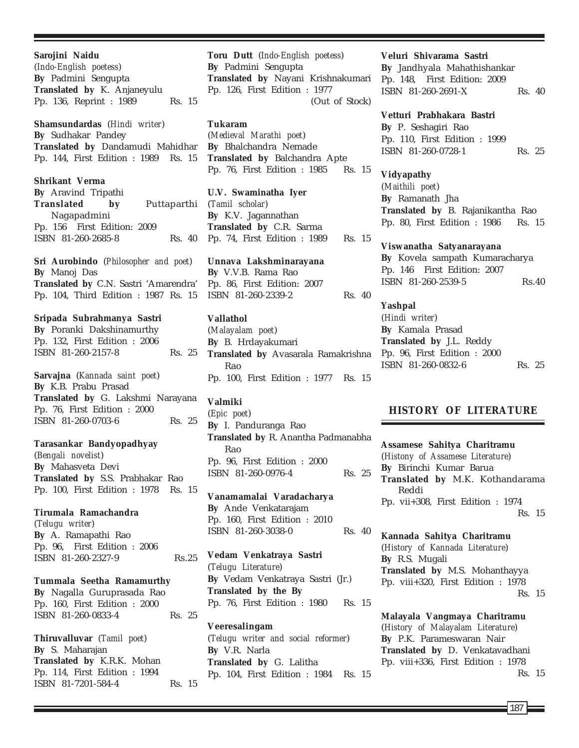**Sarojini Naidu** (*Indo-English poetess*) **By** Padmini Sengupta **Translated by** K. Anjaneyulu Pp. 136, Reprint : 1989 Rs. 15

**Shamsundardas** (*Hindi writer*) **By** Sudhakar Pandey **Translated by** Dandamudi Mahidhar Pp. 144, First Edition : 1989 Rs. 15

**Shrikant Verma By** Aravind Tripathi **Translated by** Puttaparthi Nagapadmini Pp. 156 First Edition: 2009 ISBN 81-260-2685-8 Rs. 40

**Sri Aurobindo** (*Philosopher and poet*) **By** Manoj Das **Translated by** C.N. Sastri 'Amarendra' Pp. 104, Third Edition : 1987 Rs. 15

## **Sripada Subrahmanya Sastri**

**By** Poranki Dakshinamurthy Pp. 132, First Edition : 2006 ISBN 81-260-2157-8 Rs. 25

**Sarvajna** (*Kannada saint poet*) **By** K.B. Prabu Prasad

**Translated by** G. Lakshmi Narayana Pp. 76, First Edition : 2000 ISBN 81-260-0703-6 Rs. 25

#### **Tarasankar Bandyopadhyay**

(*Bengali novelist*) **By** Mahasveta Devi **Translated by** S.S. Prabhakar Rao Pp. 100, First Edition : 1978 Rs. 15

### **Tirumala Ramachandra**

(*Telugu writer*) **By** A. Ramapathi Rao Pp. 96, First Edition : 2006 ISBN 81-260-2327-9 Rs.25

# **Tummala Seetha Ramamurthy**

**By** Nagalla Guruprasada Rao Pp. 160, First Edition : 2000 ISBN 81-260-0833-4 Rs. 25

**Thiruvalluvar** (*Tamil poet*) **By** S. Maharajan **Translated by** K.R.K. Mohan Pp. 114, First Edition : 1994 ISBN 81-7201-584-4 Rs. 15 **Toru Dutt** (*Indo-English poetess*) **By** Padmini Sengupta **Translated by** Nayani Krishnakumari Pp. 126, First Edition : 1977 (Out of Stock)

# **Tukaram**

(*Medieval Marathi poet*) **By** Bhalchandra Nemade **Translated by** Balchandra Apte Pp. 76, First Edition : 1985 Rs. 15

**U.V. Swaminatha Iyer** (*Tamil scholar*) **By** K.V. Jagannathan **Translated by** C.R. Sarma Pp. 74, First Edition : 1989 Rs. 15

**Unnava Lakshminarayana By** V.V.B. Rama Rao Pp. 86, First Edition: 2007 ISBN 81-260-2339-2 Rs. 40

# **Vallathol**

(*Malayalam poet*) **By** B. Hrdayakumari **Translated by** Avasarala Ramakrishna Rao Pp. 100, First Edition : 1977 Rs. 15

## **Valmiki**

(*Epic poet*) **By** I. Panduranga Rao **Translated by** R. Anantha Padmanabha Rao Pp. 96, First Edition : 2000 ISBN 81-260-0976-4 Rs. 25

**Vanamamalai Varadacharya By** Ande Venkatarajam Pp. 160, First Edition : 2010 ISBN 81-260-3038-0 Rs. 40

**Vedam Venkatraya Sastri** (*Telugu Literature*) **By** Vedam Venkatraya Sastri (Jr.) **Translated by the By** Pp. 76, First Edition : 1980 Rs. 15

**Veeresalingam** (*Telugu writer and social reformer*) **By** V.R. Narla **Translated by** G. Lalitha Pp. 104, First Edition : 1984 Rs. 15

# **Veluri Shivarama Sastri**

**By** Jandhyala Mahathishankar Pp. 148, First Edition: 2009 ISBN 81-260-2691-X Rs. 40

#### **Vetturi Prabhakara Bastri**

**By** P. Seshagiri Rao Pp. 110, First Edition : 1999 ISBN 81-260-0728-1 Rs. 25

**Vidyapathy** (*Maithili poet*) **By** Ramanath Jha **Translated by** B. Rajanikantha Rao Pp. 80, First Edition : 1986 Rs. 15

**Viswanatha Satyanarayana By** Kovela sampath Kumaracharya Pp. 146 First Edition: 2007 ISBN 81-260-2539-5 Rs.40

**Yashpal** (*Hindi writer*) **By** Kamala Prasad **Translated by** J.L. Reddy Pp. 96, First Edition : 2000 ISBN 81-260-0832-6 Rs. 25

# **HISTORY OF LITERATURE**

**Assamese Sahitya Charitramu** (*Histony of Assamese Literature*) **By** Birinchi Kumar Barua **Translated by** M.K. Kothandarama Reddi Pp. vii+308, First Edition : 1974 Rs. 15

**Kannada Sahitya Charitramu** (*History of Kannada Literature*) **By** R.S. Mugali **Translated by** M.S. Mohanthayya Pp. viii+320, First Edition : 1978 Rs. 15

**Malayala Vangmaya Charitramu** (*History of Malayalam Literature*) **By** P.K. Parameswaran Nair **Translated by** D. Venkatavadhani Pp. viii+336, First Edition : 1978 Rs. 15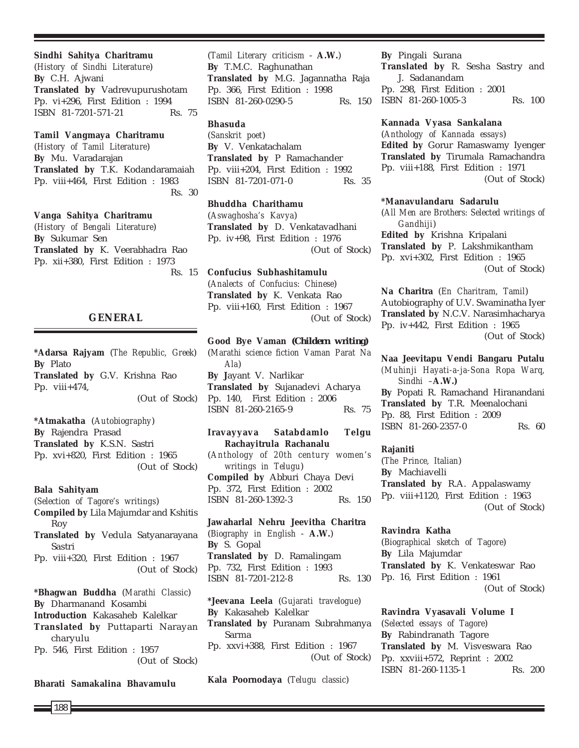#### **Sindhi Sahitya Charitramu**

(*History of Sindhi Literature*) **By** C.H. Ajwani **Translated by** Vadrevupurushotam Pp. vi+296, First Edition : 1994 ISBN 81-7201-571-21 Rs. 75

#### **Tamil Vangmaya Charitramu**

(*History of Tamil Literature*) **By** Mu. Varadarajan **Translated by** T.K. Kodandaramaiah Pp. viii+464, First Edition : 1983 Rs. 30

#### **Vanga Sahitya Charitramu**

(*History of Bengali Literature*) **By** Sukumar Sen **Translated by** K. Veerabhadra Rao Pp. xii+380, First Edition : 1973 Rs. 15

## **GENERAL**

**\*Adarsa Rajyam** (*The Republic, Greek*) **By** Plato **Translated by** G.V. Krishna Rao Pp. viii+474, (Out of Stock)

**\*Atmakatha** (*Autobiography*) **By** Rajendra Prasad **Translated by** K.S.N. Sastri Pp. xvi+820, First Edition : 1965 (Out of Stock)

# **Bala Sahityam** (*Selection of Tagore's writings*) **Compiled by** Lila Majumdar and Kshitis Roy **Translated by** Vedula Satyanarayana Sastri Pp. viii+320, First Edition : 1967 (Out of Stock)

**\*Bhagwan Buddha** (*Marathi Classic*) **By** Dharmanand Kosambi **Introduction** Kakasaheb Kalelkar **Translated by** Puttaparti Narayan charyulu Pp. 546, First Edition : 1957 (Out of Stock)

**Bharati Samakalina Bhavamulu**

188

(*Tamil Literary criticism* - **A.W.**) **By** T.M.C. Raghunathan **Translated by** M.G. Jagannatha Raja Pp. 366, First Edition : 1998 ISBN 81-260-0290-5 Rs. 150

# **Bhasuda**

(*Sanskrit poet*) **By** V. Venkatachalam **Translated by** P Ramachander Pp. viii+204, First Edition : 1992 ISBN 81-7201-071-0 Rs. 35

**Bhuddha Charithamu** (*Aswaghosha's Kavya*) **Translated by** D. Venkatavadhani Pp. iv+98, First Edition : 1976 (Out of Stock)

**Confucius Subhashitamulu** (*Analects of Confucius: Chinese*) **Translated by** K. Venkata Rao Pp. viii+160, First Edition : 1967 (Out of Stock)

**Good Bye Vaman** *(Childern writing)* (*Marathi science fiction Vaman Parat Na Ala*) **By J**ayant V. Narlikar **Translated by** Sujanadevi Acharya Pp. 140, First Edition : 2006 ISBN 81-260-2165-9 Rs. 75

**Iravayyava Satabdamlo Telgu Rachayitrula Rachanalu** (*Anthology of 20th century women's writings in Telugu*) **Compiled by** Abburi Chaya Devi Pp. 372, First Edition : 2002 ISBN 81-260-1392-3 Rs. 150

**Jawaharlal Nehru Jeevitha Charitra** (*Biography in English* - **A.W.**) **By** S. Gopal **Translated by** D. Ramalingam Pp. 732, First Edition : 1993 ISBN 81-7201-212-8 Rs. 130

**\*Jeevana Leela** (*Gujarati travelogue*) **By** Kakasaheb Kalelkar **Translated by** Puranam Subrahmanya Sarma Pp. xxvi+388, First Edition : 1967 (Out of Stock)

**Kala Poornodaya** (*Telugu classic*)

**By** Pingali Surana **Translated by** R. Sesha Sastry and J. Sadanandam Pp. 298, First Edition : 2001 ISBN 81-260-1005-3 Rs. 100

#### **Kannada Vyasa Sankalana**

(*Anthology of Kannada essays*) **Edited by** Gorur Ramaswamy Iyenger **Translated by** Tirumala Ramachandra Pp. viii+188, First Edition : 1971 (Out of Stock)

#### **\*Manavulandaru Sadarulu**

(*All Men are Brothers: Selected writings of Gandhiji*) **Edited by** Krishna Kripalani **Translated by** P. Lakshmikantham Pp. xvi+302, First Edition : 1965 (Out of Stock)

**Na Charitra** (*En Charitram, Tamil*) Autobiography of U.V. Swaminatha Iyer **Translated by** N.C.V. Narasimhacharya Pp. iv+442, First Edition : 1965 (Out of Stock)

**Naa Jeevitapu Vendi Bangaru Putalu** *(Muhinji Hayati-a-ja-Sona Ropa Warq, Sindhi –***A.W.) By** Popati R. Ramachand Hiranandani **Translated by** T.R. Meenalochani Pp. 88, First Edition : 2009 ISBN 81-260-2357-0 Rs. 60

## **Rajaniti**

(*The Prince, Italian*) **By** Machiavelli **Translated by** R.A. Appalaswamy Pp. viii+1120, First Edition : 1963 (Out of Stock)

**Ravindra Katha** (*Biographical sketch of Tagore*) **By** Lila Majumdar **Translated by** K. Venkateswar Rao Pp. 16, First Edition : 1961 (Out of Stock)

**Ravindra Vyasavali Volume I** (*Selected essays of Tagore*) **By** Rabindranath Tagore **Translated by** M. Visveswara Rao Pp. xxviii+572, Reprint : 2002 ISBN 81-260-1135-1 Rs. 200